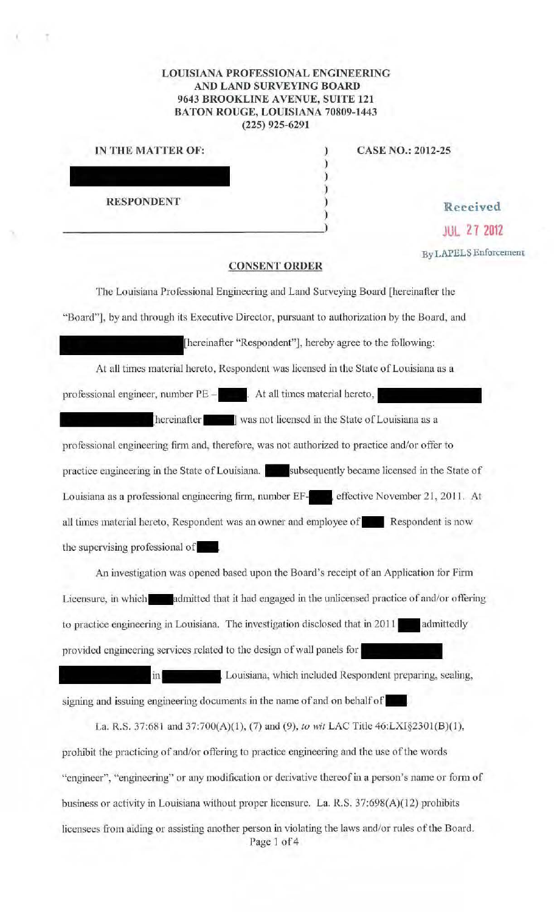## **LOUISIANA PROFESSIONAL ENGINEERING AND LAND SURVEYING BOARD 9643 BROOKLINE AVENUE, SUITE 121 BATON ROUGE, LOUISlANA 70809-1443 (225) 925-6291**

) ) ) ) )

| IN THE MATTER OF: | <b>CASE NO.: 2012-25</b> |
|-------------------|--------------------------|
|                   |                          |
|                   |                          |
|                   |                          |
| <b>RESPONDENT</b> | Received                 |
|                   |                          |

\_\_\_\_\_\_\_\_\_\_\_\_\_\_\_\_\_\_\_\_\_\_\_\_\_\_\_\_\_\_\_\_\_\_\_\_\_ ) **JUL Z 1 <sup>2012</sup>**

**:By LAPELS** Enforcement

## **CONSENT ORDER**

The Louisiana Professional Engineering and Land Surveying Board [hereinafter the "Board"], by and through its Executive Director, pursuant to authorization by the Board, and [hereinafter "Respondent"], hereby agree to the following: At all times material hereto, Respondent was licensed in the State of Louisiana as a professional engineer, number  $PE -$ . At all times material hereto, hereinafter **vulges** was not licensed in the State of Louisiana as a professional engineering firm and, therefore, was not authorized to practice and/or offer to practice engineering in the State of Louisiana. Subsequently became licensed in the State of Louisiana as a professional engineering firm, number EF-<br>
, effective November 21, 2011. At all times material hereto, Respondent was an owner and employee of **\* Respondent is now** the supervising professional of

An investigation was opened based upon the Board's receipt of an Application for Firm Licensure, in which admitted that it had engaged in the unlicensed practice of and/or offering to practice engineering in Louisiana. The investigation disclosed that in 2011 admittedly provided engineering services related to the design of wall panels for

Louisiana, which included Respondent prepating, sealing, in signing and issuing engineering documents in the name of and on behalf of

La. R.S. 37:681 and 37:700(A)(1), (7) and (9), to *\!Vil* LAC Title 46:LX1§230l(B)(1 ), prohibit the practicing of and/or offering to practice engineering and the use of the words "engineer", "engineering" or any modification or derivative thereof in a person's name or form of business or activity in Louisiana without proper licensure. La. R.S. 37:698(A)(12) prohibits licensees from aiding or assisting another person in violating the laws and/or rules of the Board. Page 1 of 4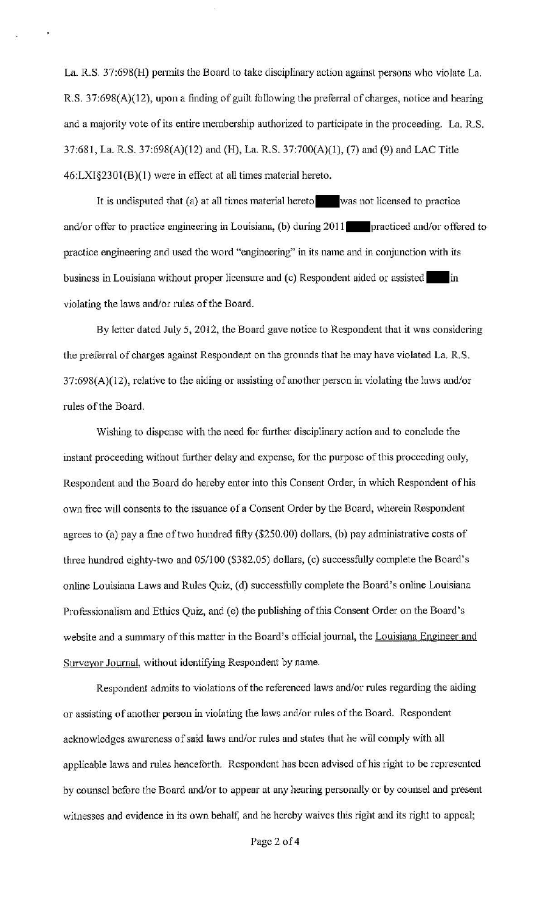La. R.S. 37:698(H) permits the Board to take disciplinary action against persons who violate La. R.S. 37:698(A)(12), upon a finding of guilt following the preferral of charges, notice and hearing and a majority vote of its entire membership authorized to participate in the proceeding. La. R.S. 37:681, La. R.S. 37:698(A)(l2) and (H), La. R.S. 37:700(A)(l), (7) and (9) and LAC Title 46:LXI§2301(B)(1) were in effect at all times material hereto.

It is undisputed that (a) at all times material hereto was not licensed to practice and/or offer to practice engineering in Louisiana, (b) during 2011 practiced and/or offered to practice engineering and used the word "engineering" in its name and in conjunction with its business in Louisiana without proper licensure and (c) Respondent aided or assisted in violating the laws and/or rules of the Board.

By letter dated July 5, 2012, the Board gave notice to Respondent that it was considering the preferral of charges against Respondent on the grounds that he may have violated La. R.S. 37:698(A)(12), relative to the aiding or assisting of another person in violating the laws and/or rules of the Board.

Wishing to dispense with the need for further disciplinary action and to conclude the instant proceeding without further delay and expense, for the purpose of this proceeding only, Respondent and the Board do hereby enter into this Consent Order, in which Respondent ofhis own free will consents to the issuance of a Consent Order by the Board, wherein Respondent agrees to (a) pay a fine of two hundred fifty (\$250.00) dollars, (b) pay administrative costs of three hundred eighty-two and 05/100 (\$382.05) dollars, (c) successfully complete the Board's online Louisiana Laws and Rules Quiz, (d) successfully complete the Board's online Louisiana Professionalism and Ethics Quiz, and (e) the publishing of this Consent Order on the Board's website and a summary of this matter in the Board's official journal, the Louisiana Engineer and Surveyor Journal, without identifying Respondent by name.

Respondent admits to violations of the referenced laws and/or rules regarding the aiding or assisting of another person in violating the laws and/or rules of the Board. Respondent acknowledges awareness of said laws and/or rules and states that he will comply with all applicable laws and rules henceforth. Respondent has been advised of his right to be represented by counsel before the Board and/or to appear at any hearing personally or by counsel and present witnesses and evidence in its own behalf, and he hereby waives this right and its right to appeal;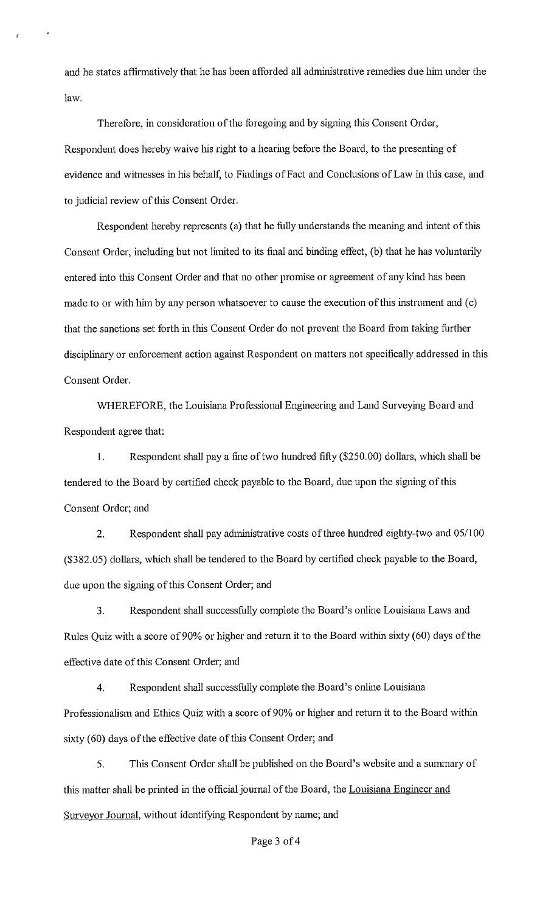and he states affirmatively that he has been afforded all administrative remedies due him under the law.

Therefore, in consideration of the foregoing and by signing this Consent Order, Respondent does hereby waive his right to a hearing before the Board, to the presenting of evidence and witnesses in his behalf, to Findings of Fact and Conclusions of Law in this case, and to judicial review of this Consent Order.

Respondent hereby represents (a) that he fully understands the meaning and intent of this Consent Order, including but not limited to its final and binding effect, (b) that he has voluntarily entered into this Consent Order and that no other promise or agreement of any kind has been made to or with him by any person whatsoever to cause the execution of this instrument and (c) that the sanctions set forth in this Consent Order do not prevent the Board from taking further disciplinary or enforcement action against Respondent on matters not specifically addressed in this Consent Order.

WHEREFORE, the Louisiana Professional Engineering and Land Surveying Board and Respondent agree that:

I. Respondent shall pay a fine of two hundred fifty (\$250.00) dollars, which shall be tendered to the Board by certified check payable to the Board, due upon the signing of this Consent Order; and

2. Respondent shall pay administrative costs of three hundred eighty-two and 05/100 (\$382.05) dollars, which shall be tendered to the Board by certified check payable to the Board, due upon the signing of this Consent Order; and

3. Respondent shall successfully complete the Board's online Louisiana Laws and Rules Quiz with a score of 90% or higher and return it to the Board within sixty (60) days of the effective date of this Consent Order; and

4. Respondent shall successfully complete the Board's online Louisiana Professionalism and Ethics Quiz with a score of 90% or higher and return it to the Board within sixty (60) days of the effective date of this Consent Order; and

5. Tllis Consent Order shall be published on the Board's website and a summary of this matter shall be printed in the official journal of the Board, the Louisiana Engineer and Surveyor Journal, without identifying Respondent by name; and